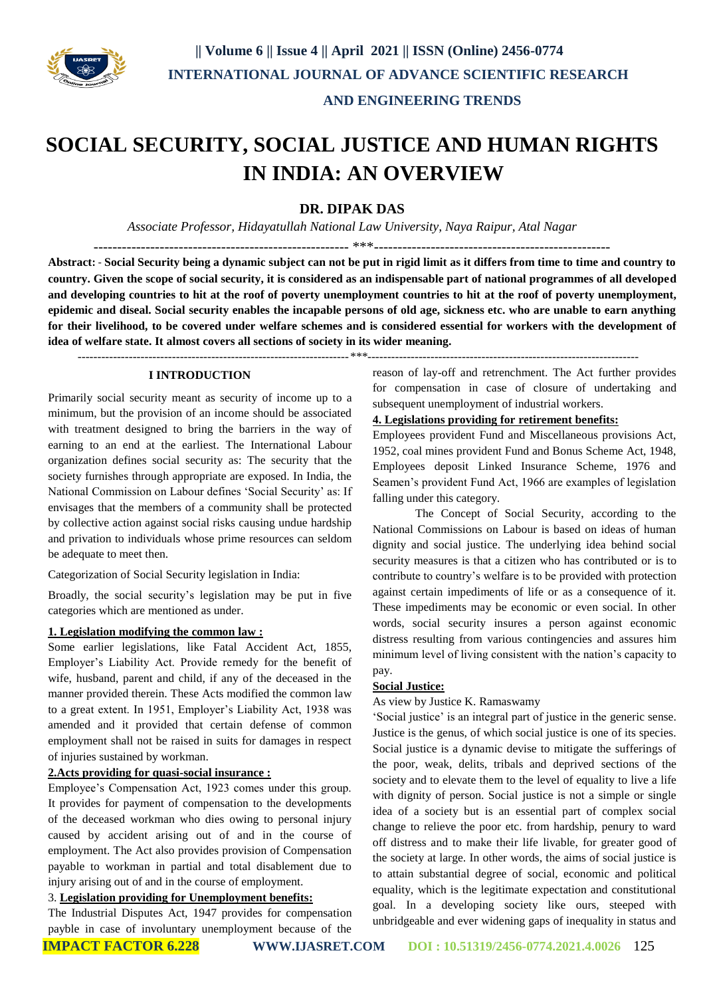

# **SOCIAL SECURITY, SOCIAL JUSTICE AND HUMAN RIGHTS IN INDIA: AN OVERVIEW**

## **DR. DIPAK DAS**

*Associate Professor, Hidayatullah National Law University, Naya Raipur, Atal Nagar*

------------------------------------------------------ \*\*\*-------------------------------------------------- **Abstract:** - **Social Security being a dynamic subject can not be put in rigid limit as it differs from time to time and country to country. Given the scope of social security, it is considered as an indispensable part of national programmes of all developed and developing countries to hit at the roof of poverty unemployment countries to hit at the roof of poverty unemployment, epidemic and diseal. Social security enables the incapable persons of old age, sickness etc. who are unable to earn anything for their livelihood, to be covered under welfare schemes and is considered essential for workers with the development of idea of welfare state. It almost covers all sections of society in its wider meaning.**

 *---------------------------------------------------------------------\*\*\*---------------------------------------------------------------------*

#### **I INTRODUCTION**

Primarily social security meant as security of income up to a minimum, but the provision of an income should be associated with treatment designed to bring the barriers in the way of earning to an end at the earliest. The International Labour organization defines social security as: The security that the society furnishes through appropriate are exposed. In India, the National Commission on Labour defines 'Social Security' as: If envisages that the members of a community shall be protected by collective action against social risks causing undue hardship and privation to individuals whose prime resources can seldom be adequate to meet then.

Categorization of Social Security legislation in India:

Broadly, the social security's legislation may be put in five categories which are mentioned as under.

### **1. Legislation modifying the common law :**

Some earlier legislations, like Fatal Accident Act, 1855, Employer's Liability Act. Provide remedy for the benefit of wife, husband, parent and child, if any of the deceased in the manner provided therein. These Acts modified the common law to a great extent. In 1951, Employer's Liability Act, 1938 was amended and it provided that certain defense of common employment shall not be raised in suits for damages in respect of injuries sustained by workman.

#### **2.Acts providing for quasi-social insurance :**

Employee's Compensation Act, 1923 comes under this group. It provides for payment of compensation to the developments of the deceased workman who dies owing to personal injury caused by accident arising out of and in the course of employment. The Act also provides provision of Compensation payable to workman in partial and total disablement due to injury arising out of and in the course of employment.

#### 3. **Legislation providing for Unemployment benefits:**

The Industrial Disputes Act, 1947 provides for compensation payble in case of involuntary unemployment because of the

reason of lay-off and retrenchment. The Act further provides for compensation in case of closure of undertaking and subsequent unemployment of industrial workers.

#### **4. Legislations providing for retirement benefits:**

Employees provident Fund and Miscellaneous provisions Act, 1952, coal mines provident Fund and Bonus Scheme Act, 1948, Employees deposit Linked Insurance Scheme, 1976 and Seamen's provident Fund Act, 1966 are examples of legislation falling under this category.

The Concept of Social Security, according to the National Commissions on Labour is based on ideas of human dignity and social justice. The underlying idea behind social security measures is that a citizen who has contributed or is to contribute to country's welfare is to be provided with protection against certain impediments of life or as a consequence of it. These impediments may be economic or even social. In other words, social security insures a person against economic distress resulting from various contingencies and assures him minimum level of living consistent with the nation's capacity to pay.

#### **Social Justice:**

#### As view by Justice K. Ramaswamy

'Social justice' is an integral part of justice in the generic sense. Justice is the genus, of which social justice is one of its species. Social justice is a dynamic devise to mitigate the sufferings of the poor, weak, delits, tribals and deprived sections of the society and to elevate them to the level of equality to live a life with dignity of person. Social justice is not a simple or single idea of a society but is an essential part of complex social change to relieve the poor etc. from hardship, penury to ward off distress and to make their life livable, for greater good of the society at large. In other words, the aims of social justice is to attain substantial degree of social, economic and political equality, which is the legitimate expectation and constitutional goal. In a developing society like ours, steeped with unbridgeable and ever widening gaps of inequality in status and